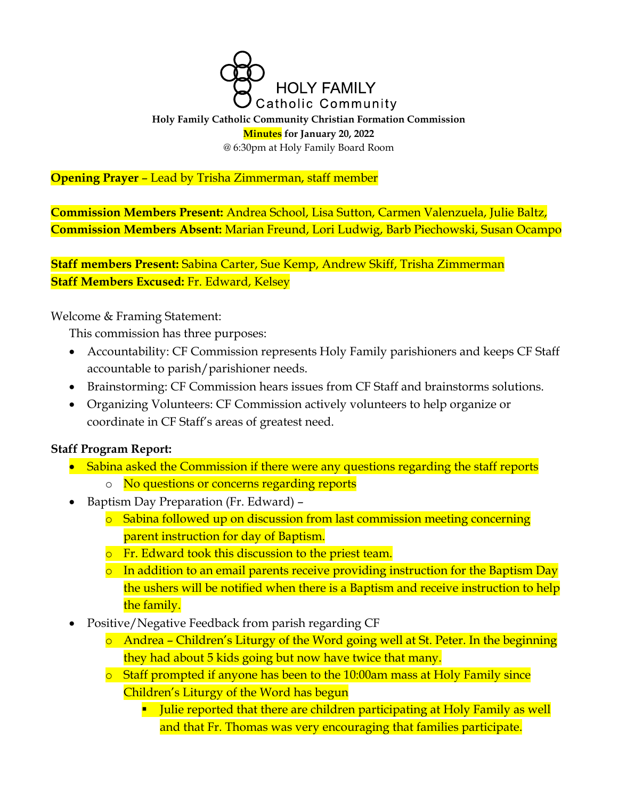

#### **Holy Family Catholic Community Christian Formation Commission Minutes for January 20, 2022** @ 6:30pm at Holy Family Board Room

## **Opening Prayer** – Lead by Trisha Zimmerman, staff member

**Commission Members Present:** Andrea School, Lisa Sutton, Carmen Valenzuela, Julie Baltz, **Commission Members Absent:** Marian Freund, Lori Ludwig, Barb Piechowski, Susan Ocampo

**Staff members Present:** Sabina Carter, Sue Kemp, Andrew Skiff, Trisha Zimmerman **Staff Members Excused:** Fr. Edward, Kelsey

Welcome & Framing Statement:

This commission has three purposes:

- Accountability: CF Commission represents Holy Family parishioners and keeps CF Staff accountable to parish/parishioner needs.
- Brainstorming: CF Commission hears issues from CF Staff and brainstorms solutions.
- Organizing Volunteers: CF Commission actively volunteers to help organize or coordinate in CF Staff's areas of greatest need.

## **Staff Program Report:**

- Sabina asked the Commission if there were any questions regarding the staff reports
	- o No questions or concerns regarding reports
- Baptism Day Preparation (Fr. Edward)
	- o Sabina followed up on discussion from last commission meeting concerning parent instruction for day of Baptism.
	- o Fr. Edward took this discussion to the priest team.
	- o In addition to an email parents receive providing instruction for the Baptism Day the ushers will be notified when there is a Baptism and receive instruction to help the family.
- Positive/Negative Feedback from parish regarding CF
	- o Andrea Children's Liturgy of the Word going well at St. Peter. In the beginning they had about 5 kids going but now have twice that many.
	- o Staff prompted if anyone has been to the 10:00am mass at Holy Family since Children's Liturgy of the Word has begun
		- **Julie reported that there are children participating at Holy Family as well** and that Fr. Thomas was very encouraging that families participate.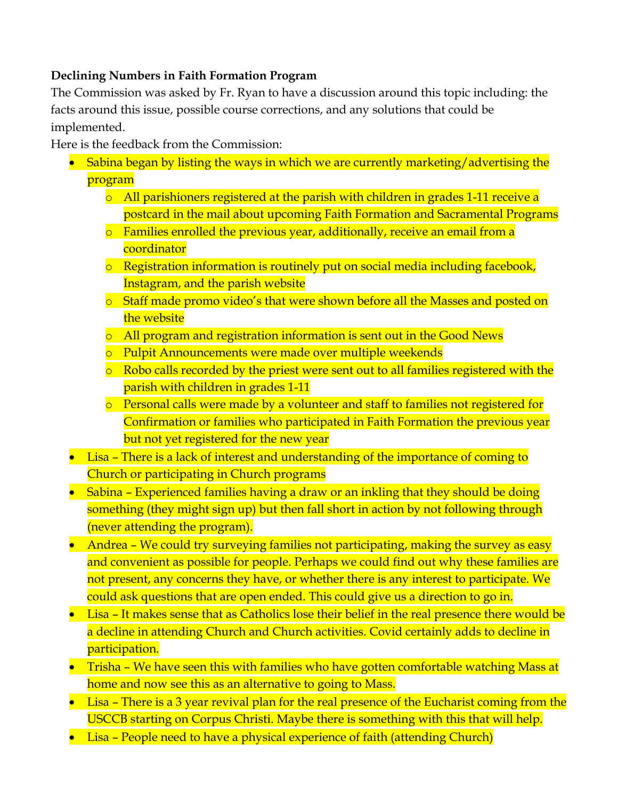## **Declining Numbers in Faith Formation Program**

The Commission was asked by Fr. Ryan to have a discussion around this topic including: the facts around this issue, possible course corrections, and any solutions that could be implemented.

Here is the feedback from the Commission:

- Sabina began by listing the ways in which we are currently marketing/advertising the program
	- $\circ$  All parishioners registered at the parish with children in grades 1-11 receive a postcard in the mail about upcoming Faith Formation and Sacramental Programs
	- o Families enrolled the previous year, additionally, receive an email from a coordinator
	- o Registration information is routinely put on social media including facebook, Instagram, and the parish website
	- o Staff made promo video's that were shown before all the Masses and posted on the website
	- o All program and registration information is sent out in the Good News
	- o Pulpit Announcements were made over multiple weekends
	- o Robo calls recorded by the priest were sent out to all families registered with the parish with children in grades 1-11
	- o Personal calls were made by a volunteer and staff to families not registered for Confirmation or families who participated in Faith Formation the previous year but not yet registered for the new year
- Lisa There is a lack of interest and understanding of the importance of coming to Church or participating in Church programs
- Sabina Experienced families having a draw or an inkling that they should be doing something (they might sign up) but then fall short in action by not following through (never attending the program).
- Andrea We could try surveying families not participating, making the survey as easy and convenient as possible for people. Perhaps we could find out why these families are not present, any concerns they have, or whether there is any interest to participate. We could ask questions that are open ended. This could give us a direction to go in.
- Lisa It makes sense that as Catholics lose their belief in the real presence there would be a decline in attending Church and Church activities. Covid certainly adds to decline in participation.
- Trisha We have seen this with families who have gotten comfortable watching Mass at home and now see this as an alternative to going to Mass.
- Lisa There is a 3 year revival plan for the real presence of the Eucharist coming from the USCCB starting on Corpus Christi. Maybe there is something with this that will help.
- Lisa People need to have a physical experience of faith (attending Church)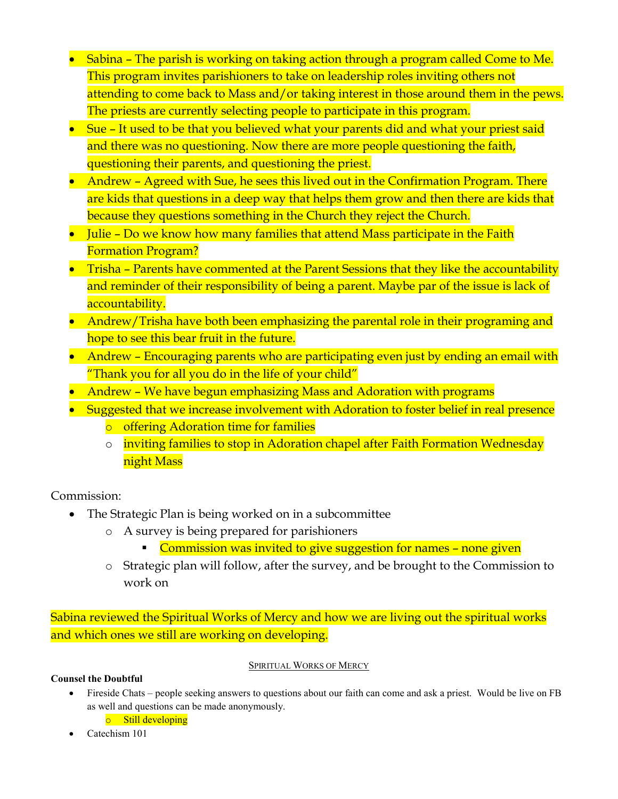- Sabina The parish is working on taking action through a program called Come to Me. This program invites parishioners to take on leadership roles inviting others not attending to come back to Mass and/or taking interest in those around them in the pews. The priests are currently selecting people to participate in this program.
- Sue It used to be that you believed what your parents did and what your priest said and there was no questioning. Now there are more people questioning the faith, questioning their parents, and questioning the priest.
- Andrew Agreed with Sue, he sees this lived out in the Confirmation Program. There are kids that questions in a deep way that helps them grow and then there are kids that because they questions something in the Church they reject the Church.
- Julie Do we know how many families that attend Mass participate in the Faith Formation Program?
- Trisha Parents have commented at the Parent Sessions that they like the accountability and reminder of their responsibility of being a parent. Maybe par of the issue is lack of accountability.
- Andrew/Trisha have both been emphasizing the parental role in their programing and hope to see this bear fruit in the future.
- Andrew Encouraging parents who are participating even just by ending an email with "Thank you for all you do in the life of your child"
- Andrew We have begun emphasizing Mass and Adoration with programs
- Suggested that we increase involvement with Adoration to foster belief in real presence
	- o offering Adoration time for families
	- o inviting families to stop in Adoration chapel after Faith Formation Wednesday night Mass

Commission:

- The Strategic Plan is being worked on in a subcommittee
	- o A survey is being prepared for parishioners
		- **Commission was invited to give suggestion for names none given**
	- o Strategic plan will follow, after the survey, and be brought to the Commission to work on

Sabina reviewed the Spiritual Works of Mercy and how we are living out the spiritual works and which ones we still are working on developing.

#### SPIRITUAL WORKS OF MERCY

### **Counsel the Doubtful**

- Fireside Chats people seeking answers to questions about our faith can come and ask a priest. Would be live on FB as well and questions can be made anonymously.
	- o Still developing
- Catechism 101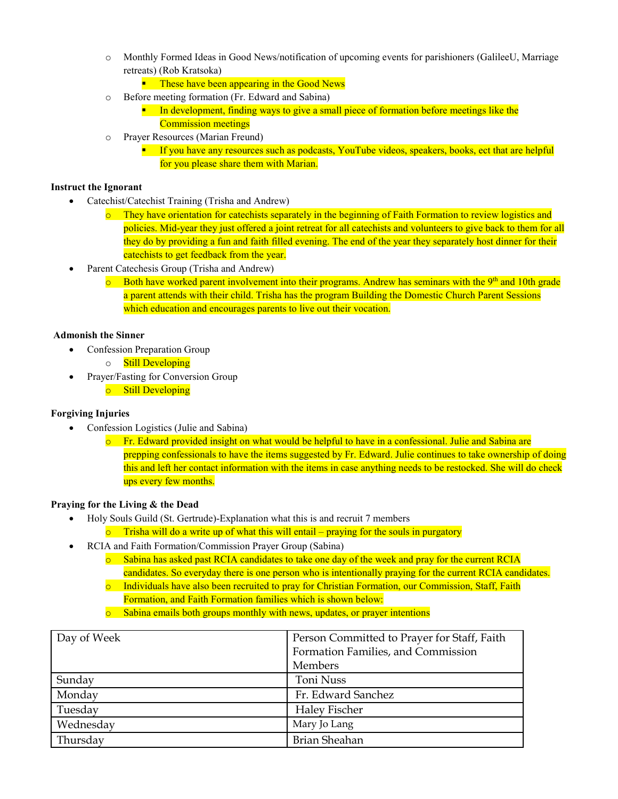- o Monthly Formed Ideas in Good News/notification of upcoming events for parishioners (GalileeU, Marriage retreats) (Rob Kratsoka)
	- **These have been appearing in the Good News**
- o Before meeting formation (Fr. Edward and Sabina)
	- **IF** In development, finding ways to give a small piece of formation before meetings like the Commission meetings
- o Prayer Resources (Marian Freund)
	- **If you have any resources such as podcasts, YouTube videos, speakers, books, ect that are helpful** for you please share them with Marian.

#### **Instruct the Ignorant**

- Catechist/Catechist Training (Trisha and Andrew)
	- o They have orientation for catechists separately in the beginning of Faith Formation to review logistics and policies. Mid-year they just offered a joint retreat for all catechists and volunteers to give back to them for all they do by providing a fun and faith filled evening. The end of the year they separately host dinner for their catechists to get feedback from the year.
- Parent Catechesis Group (Trisha and Andrew)
	- $\circ$  Both have worked parent involvement into their programs. Andrew has seminars with the 9<sup>th</sup> and 10th grade a parent attends with their child. Trisha has the program Building the Domestic Church Parent Sessions which education and encourages parents to live out their vocation.

#### **Admonish the Sinner**

- Confession Preparation Group
	- o Still Developing
- Prayer/Fasting for Conversion Group o Still Developing

#### **Forgiving Injuries**

- Confession Logistics (Julie and Sabina)
	- $\circ$  Fr. Edward provided insight on what would be helpful to have in a confessional. Julie and Sabina are prepping confessionals to have the items suggested by Fr. Edward. Julie continues to take ownership of doing this and left her contact information with the items in case anything needs to be restocked. She will do check ups every few months.

#### **Praying for the Living & the Dead**

- Holy Souls Guild (St. Gertrude)-Explanation what this is and recruit 7 members
	- $\circ$  Trisha will do a write up of what this will entail praying for the souls in purgatory
- RCIA and Faith Formation/Commission Prayer Group (Sabina)
	- o Sabina has asked past RCIA candidates to take one day of the week and pray for the current RCIA candidates. So everyday there is one person who is intentionally praying for the current RCIA candidates.
	- o Individuals have also been recruited to pray for Christian Formation, our Commission, Staff, Faith Formation, and Faith Formation families which is shown below:
	- o Sabina emails both groups monthly with news, updates, or prayer intentions

| Day of Week | Person Committed to Prayer for Staff, Faith |
|-------------|---------------------------------------------|
|             | Formation Families, and Commission          |
|             | Members                                     |
| Sunday      | Toni Nuss                                   |
| Monday      | Fr. Edward Sanchez                          |
| Tuesday     | Haley Fischer                               |
| Wednesday   | Mary Jo Lang                                |
| Thursday    | <b>Brian Sheahan</b>                        |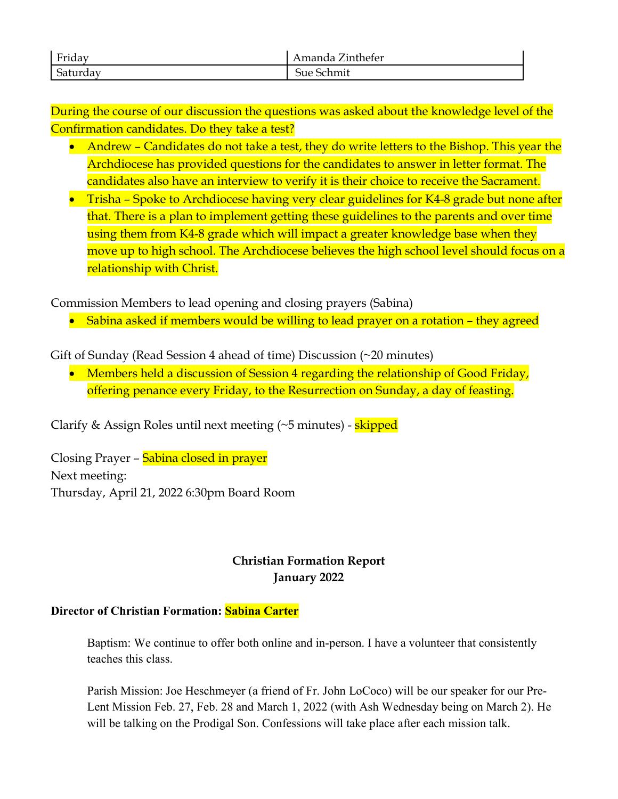| Friday     | –<br>.inthefer<br>$\sim$ $\sim$ $\sim$<br>าศล |
|------------|-----------------------------------------------|
| $\epsilon$ | 110                                           |
| aurdav     | <b>UU</b>                                     |

During the course of our discussion the questions was asked about the knowledge level of the Confirmation candidates. Do they take a test?

- Andrew Candidates do not take a test, they do write letters to the Bishop. This year the Archdiocese has provided questions for the candidates to answer in letter format. The candidates also have an interview to verify it is their choice to receive the Sacrament.
- Trisha Spoke to Archdiocese having very clear guidelines for K4-8 grade but none after that. There is a plan to implement getting these guidelines to the parents and over time using them from K4-8 grade which will impact a greater knowledge base when they move up to high school. The Archdiocese believes the high school level should focus on a relationship with Christ.

Commission Members to lead opening and closing prayers (Sabina)

• Sabina asked if members would be willing to lead prayer on a rotation – they agreed

Gift of Sunday (Read Session 4 ahead of time) Discussion (~20 minutes)

• Members held a discussion of Session 4 regarding the relationship of Good Friday, offering penance every Friday, to the Resurrection on Sunday, a day of feasting.

Clarify & Assign Roles until next meeting (~5 minutes) - skipped

Closing Prayer - Sabina closed in prayer Next meeting: Thursday, April 21, 2022 6:30pm Board Room

# **Christian Formation Report January 2022**

## **Director of Christian Formation: Sabina Carter**

Baptism: We continue to offer both online and in-person. I have a volunteer that consistently teaches this class.

Parish Mission: Joe Heschmeyer (a friend of Fr. John LoCoco) will be our speaker for our Pre-Lent Mission Feb. 27, Feb. 28 and March 1, 2022 (with Ash Wednesday being on March 2). He will be talking on the Prodigal Son. Confessions will take place after each mission talk.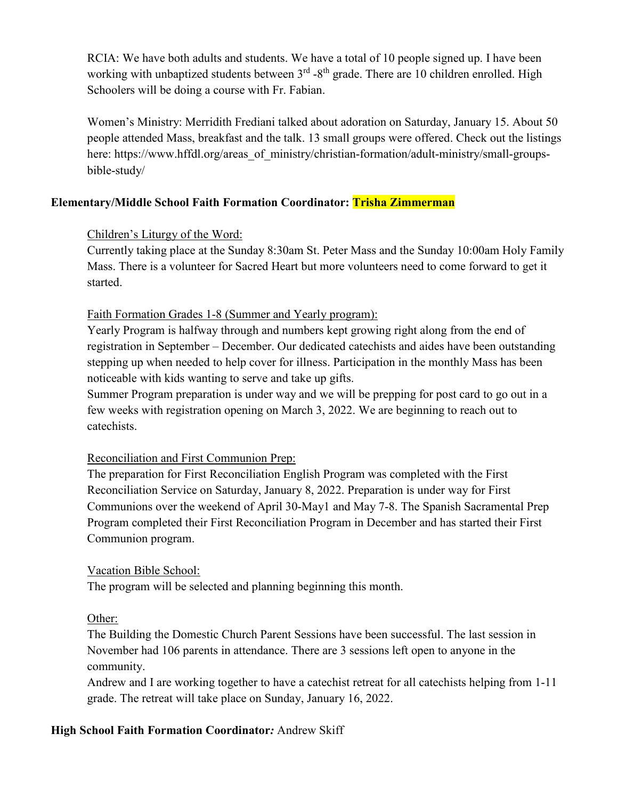RCIA: We have both adults and students. We have a total of 10 people signed up. I have been working with unbaptized students between 3<sup>rd</sup> -8<sup>th</sup> grade. There are 10 children enrolled. High Schoolers will be doing a course with Fr. Fabian.

Women's Ministry: Merridith Frediani talked about adoration on Saturday, January 15. About 50 people attended Mass, breakfast and the talk. 13 small groups were offered. Check out the listings here: https://www.hffdl.org/areas\_of\_ministry/christian-formation/adult-ministry/small-groupsbible-study/

## **Elementary/Middle School Faith Formation Coordinator: Trisha Zimmerman**

## Children's Liturgy of the Word:

Currently taking place at the Sunday 8:30am St. Peter Mass and the Sunday 10:00am Holy Family Mass. There is a volunteer for Sacred Heart but more volunteers need to come forward to get it started.

## Faith Formation Grades 1-8 (Summer and Yearly program):

Yearly Program is halfway through and numbers kept growing right along from the end of registration in September – December. Our dedicated catechists and aides have been outstanding stepping up when needed to help cover for illness. Participation in the monthly Mass has been noticeable with kids wanting to serve and take up gifts.

Summer Program preparation is under way and we will be prepping for post card to go out in a few weeks with registration opening on March 3, 2022. We are beginning to reach out to catechists.

### Reconciliation and First Communion Prep:

The preparation for First Reconciliation English Program was completed with the First Reconciliation Service on Saturday, January 8, 2022. Preparation is under way for First Communions over the weekend of April 30-May1 and May 7-8. The Spanish Sacramental Prep Program completed their First Reconciliation Program in December and has started their First Communion program.

### Vacation Bible School:

The program will be selected and planning beginning this month.

## Other:

The Building the Domestic Church Parent Sessions have been successful. The last session in November had 106 parents in attendance. There are 3 sessions left open to anyone in the community.

Andrew and I are working together to have a catechist retreat for all catechists helping from 1-11 grade. The retreat will take place on Sunday, January 16, 2022.

## **High School Faith Formation Coordinator***:* Andrew Skiff